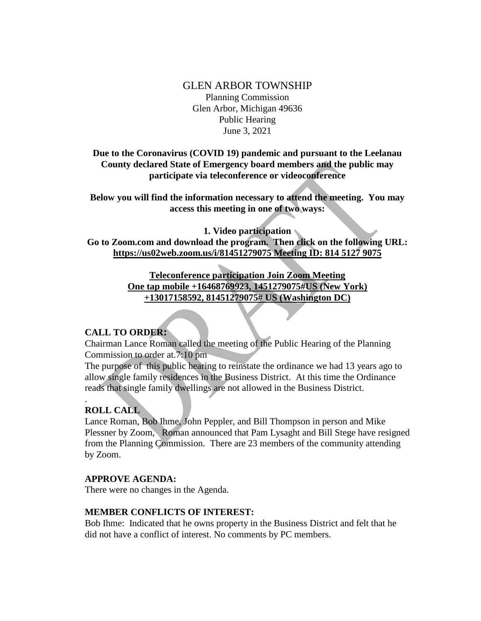# GLEN ARBOR TOWNSHIP Planning Commission Glen Arbor, Michigan 49636 Public Hearing June 3, 2021

### **Due to the Coronavirus (COVID 19) pandemic and pursuant to the Leelanau County declared State of Emergency board members and the public may participate via teleconference or videoconference**

**Below you will find the information necessary to attend the meeting. You may access this meeting in one of two ways:**

**1. Video participation**

**Go to Zoom.com and download the program. Then click on the following URL: https://us02web.zoom.us/i/81451279075 Meeting ID: 814 5127 9075**

> **Teleconference participation Join Zoom Meeting One tap mobile +16468769923, 1451279075#US (New York) +13017158592, 81451279075# US (Washington DC)**

## **CALL TO ORDER:**

Chairman Lance Roman called the meeting of the Public Hearing of the Planning Commission to order at.7:10 pm

The purpose of this public hearing to reinstate the ordinance we had 13 years ago to allow single family residences in the Business District. At this time the Ordinance reads that single family dwellings are not allowed in the Business District.

## **ROLL CALL**

.

Lance Roman, Bob Ihme, John Peppler, and Bill Thompson in person and Mike Plessner by Zoom, Roman announced that Pam Lysaght and Bill Stege have resigned from the Planning Commission. There are 23 members of the community attending by Zoom.

#### **APPROVE AGENDA:**

There were no changes in the Agenda.

#### **MEMBER CONFLICTS OF INTEREST:**

Bob Ihme: Indicated that he owns property in the Business District and felt that he did not have a conflict of interest. No comments by PC members.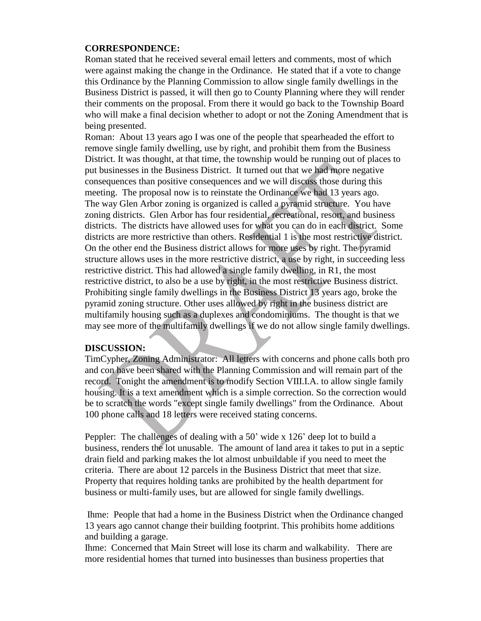### **CORRESPONDENCE:**

Roman stated that he received several email letters and comments, most of which were against making the change in the Ordinance. He stated that if a vote to change this Ordinance by the Planning Commission to allow single family dwellings in the Business District is passed, it will then go to County Planning where they will render their comments on the proposal. From there it would go back to the Township Board who will make a final decision whether to adopt or not the Zoning Amendment that is being presented.

Roman: About 13 years ago I was one of the people that spearheaded the effort to remove single family dwelling, use by right, and prohibit them from the Business District. It was thought, at that time, the township would be running out of places to put businesses in the Business District. It turned out that we had more negative consequences than positive consequences and we will discuss those during this meeting. The proposal now is to reinstate the Ordinance we had 13 years ago. The way Glen Arbor zoning is organized is called a pyramid structure. You have zoning districts. Glen Arbor has four residential, recreational, resort, and business districts. The districts have allowed uses for what you can do in each district. Some districts are more restrictive than others. Residential 1 is the most restrictive district. On the other end the Business district allows for more uses by right. The pyramid structure allows uses in the more restrictive district, a use by right, in succeeding less restrictive district. This had allowed a single family dwelling, in R1, the most restrictive district, to also be a use by right, in the most restrictive Business district. Prohibiting single family dwellings in the Business District 13 years ago, broke the pyramid zoning structure. Other uses allowed by right in the business district are multifamily housing such as a duplexes and condominiums. The thought is that we may see more of the multifamily dwellings if we do not allow single family dwellings.

#### **DISCUSSION:**

TimCypher, Zoning Administrator: All letters with concerns and phone calls both pro and con have been shared with the Planning Commission and will remain part of the record. Tonight the amendment is to modify Section VIII.I.A. to allow single family housing. It is a text amendment which is a simple correction. So the correction would be to scratch the words "except single family dwellings" from the Ordinance. About 100 phone calls and 18 letters were received stating concerns.

Peppler: The challenges of dealing with a 50' wide x 126' deep lot to build a business, renders the lot unusable. The amount of land area it takes to put in a septic drain field and parking makes the lot almost unbuildable if you need to meet the criteria. There are about 12 parcels in the Business District that meet that size. Property that requires holding tanks are prohibited by the health department for business or multi-family uses, but are allowed for single family dwellings.

Ihme: People that had a home in the Business District when the Ordinance changed 13 years ago cannot change their building footprint. This prohibits home additions and building a garage.

Ihme: Concerned that Main Street will lose its charm and walkability. There are more residential homes that turned into businesses than business properties that